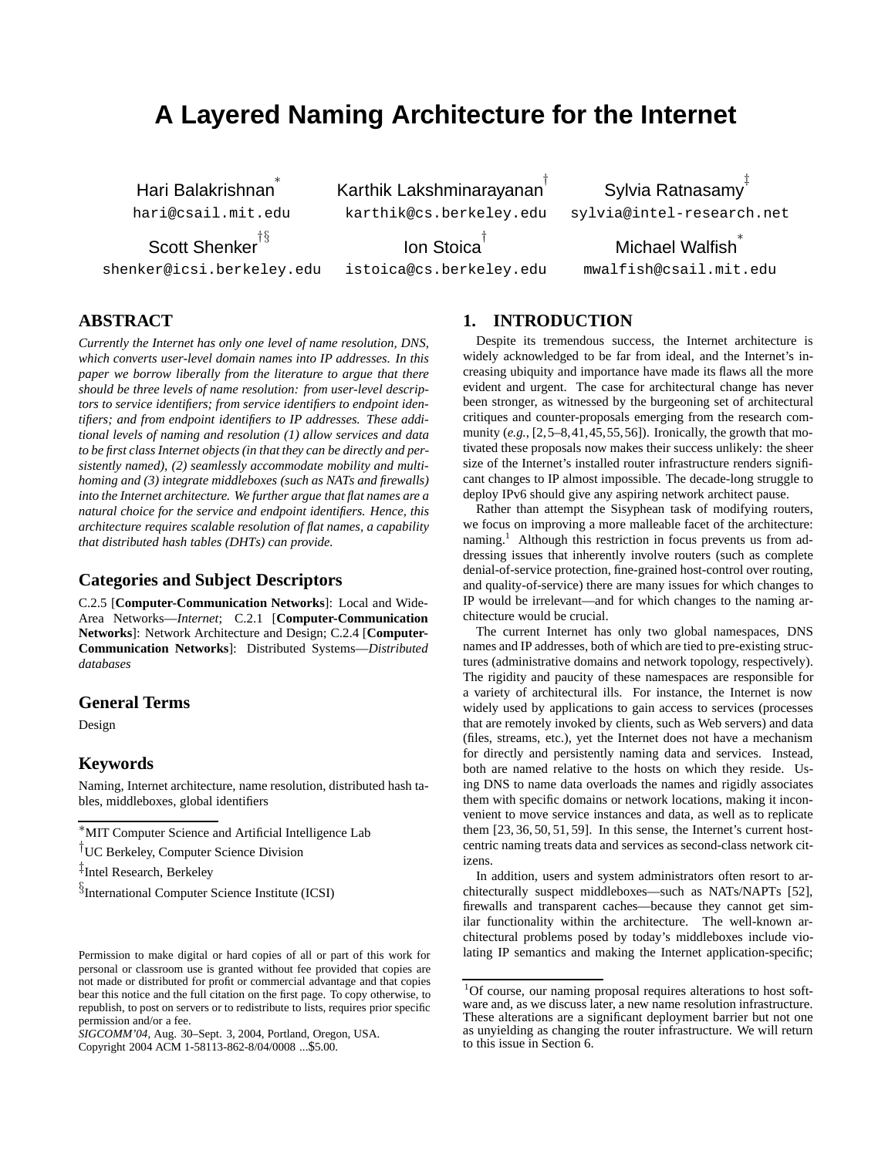# **A Layered Naming Architecture for the Internet**

Hari Balakrishnan hari@csail.mit.edu Scott Shenker<sup>†§</sup>

shenker@icsi.berkeley.edu

Karthik Lakshminarayanan<sup>†</sup>

karthik@cs.berkeley.edu

Ion Stoica†

istoica@cs.berkeley.edu

Sylvia Ratnasamy<sup>‡</sup> sylvia@intel-research.net

Michael Walfish mwalfish@csail.mit.edu

# **ABSTRACT**

*Currently the Internet has only one level of name resolution, DNS, which converts user-level domain names into IP addresses. In this paper we borrow liberally from the literature to argue that there should be three levels of name resolution: from user-level descriptors to service identifiers; from service identifiers to endpoint identifiers; and from endpoint identifiers to IP addresses. These additional levels of naming and resolution (1) allow services and data to be first class Internet objects (in that they can be directly and persistently named), (2) seamlessly accommodate mobility and multihoming and (3) integrate middleboxes (such as NATs and firewalls) into the Internet architecture. We further argue that flat names are a natural choice for the service and endpoint identifiers. Hence, this architecture requires scalable resolution of flat names, a capability that distributed hash tables (DHTs) can provide.*

#### **Categories and Subject Descriptors**

C.2.5 [**Computer-Communication Networks**]: Local and Wide-Area Networks—*Internet*; C.2.1 [**Computer-Communication Networks**]: Network Architecture and Design; C.2.4 [**Computer-Communication Networks**]: Distributed Systems—*Distributed databases*

#### **General Terms**

Design

#### **Keywords**

Naming, Internet architecture, name resolution, distributed hash tables, middleboxes, global identifiers

∗MIT Computer Science and Artificial Intelligence Lab

†UC Berkeley, Computer Science Division

‡Intel Research, Berkeley

§International Computer Science Institute (ICSI)

Copyright 2004 ACM 1-58113-862-8/04/0008 ...\$5.00.

# **1. INTRODUCTION**

Despite its tremendous success, the Internet architecture is widely acknowledged to be far from ideal, and the Internet's increasing ubiquity and importance have made its flaws all the more evident and urgent. The case for architectural change has never been stronger, as witnessed by the burgeoning set of architectural critiques and counter-proposals emerging from the research community (*e.g.*, [2,5–8,41,45,55,56]). Ironically, the growth that motivated these proposals now makes their success unlikely: the sheer size of the Internet's installed router infrastructure renders significant changes to IP almost impossible. The decade-long struggle to deploy IPv6 should give any aspiring network architect pause.

Rather than attempt the Sisyphean task of modifying routers, we focus on improving a more malleable facet of the architecture: naming.<sup>1</sup> Although this restriction in focus prevents us from addressing issues that inherently involve routers (such as complete denial-of-service protection, fine-grained host-control over routing, and quality-of-service) there are many issues for which changes to IP would be irrelevant—and for which changes to the naming architecture would be crucial.

The current Internet has only two global namespaces, DNS names and IP addresses, both of which are tied to pre-existing structures (administrative domains and network topology, respectively). The rigidity and paucity of these namespaces are responsible for a variety of architectural ills. For instance, the Internet is now widely used by applications to gain access to services (processes that are remotely invoked by clients, such as Web servers) and data (files, streams, etc.), yet the Internet does not have a mechanism for directly and persistently naming data and services. Instead, both are named relative to the hosts on which they reside. Using DNS to name data overloads the names and rigidly associates them with specific domains or network locations, making it inconvenient to move service instances and data, as well as to replicate them [23, 36, 50, 51, 59]. In this sense, the Internet's current hostcentric naming treats data and services as second-class network citizens.

In addition, users and system administrators often resort to architecturally suspect middleboxes—such as NATs/NAPTs [52], firewalls and transparent caches—because they cannot get similar functionality within the architecture. The well-known architectural problems posed by today's middleboxes include violating IP semantics and making the Internet application-specific;

Permission to make digital or hard copies of all or part of this work for personal or classroom use is granted without fee provided that copies are not made or distributed for profit or commercial advantage and that copies bear this notice and the full citation on the first page. To copy otherwise, to republish, to post on servers or to redistribute to lists, requires prior specific permission and/or a fee.

*SIGCOMM'04,* Aug. 30–Sept. 3, 2004, Portland, Oregon, USA.

<sup>&</sup>lt;sup>1</sup>Of course, our naming proposal requires alterations to host software and, as we discuss later, a new name resolution infrastructure. These alterations are a significant deployment barrier but not one as unyielding as changing the router infrastructure. We will return to this issue in Section 6.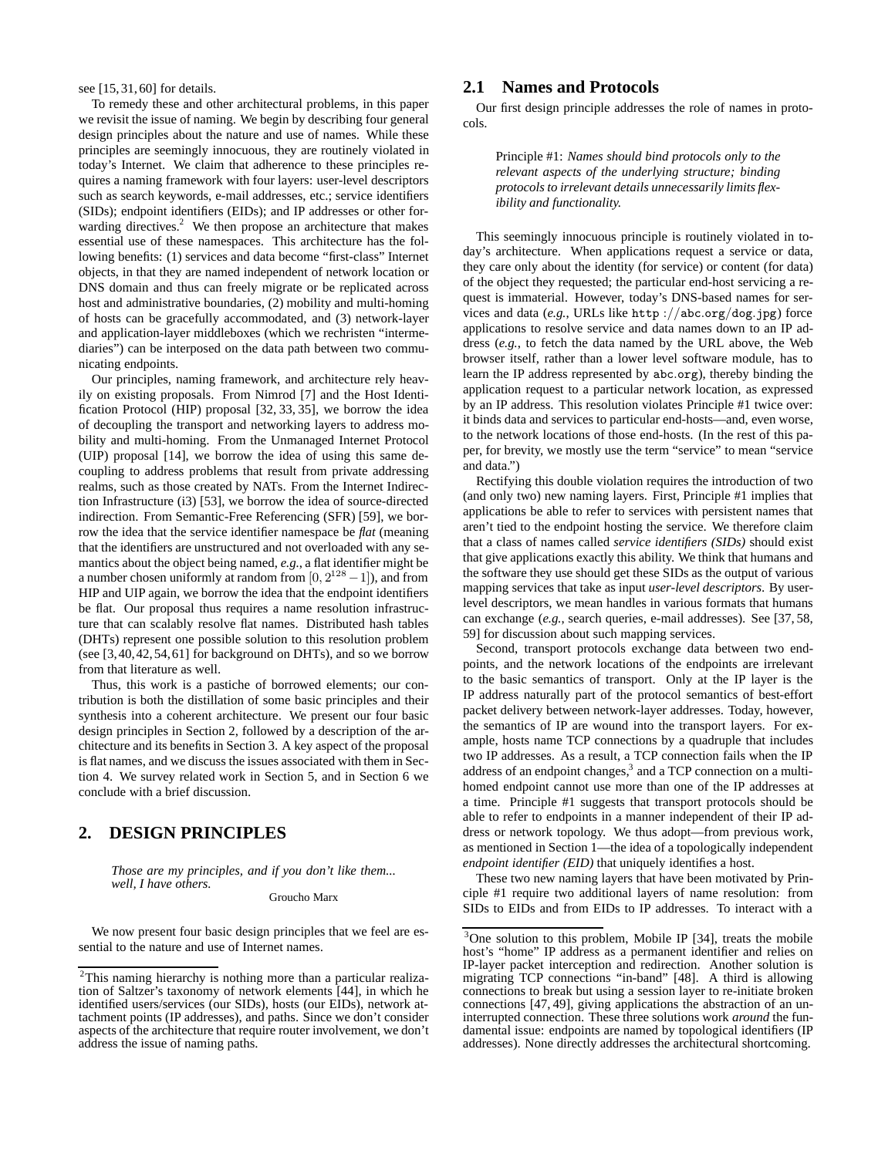see [15, 31, 60] for details.

To remedy these and other architectural problems, in this paper we revisit the issue of naming. We begin by describing four general design principles about the nature and use of names. While these principles are seemingly innocuous, they are routinely violated in today's Internet. We claim that adherence to these principles requires a naming framework with four layers: user-level descriptors such as search keywords, e-mail addresses, etc.; service identifiers (SIDs); endpoint identifiers (EIDs); and IP addresses or other forwarding directives. $2$  We then propose an architecture that makes essential use of these namespaces. This architecture has the following benefits: (1) services and data become "first-class" Internet objects, in that they are named independent of network location or DNS domain and thus can freely migrate or be replicated across host and administrative boundaries, (2) mobility and multi-homing of hosts can be gracefully accommodated, and (3) network-layer and application-layer middleboxes (which we rechristen "intermediaries") can be interposed on the data path between two communicating endpoints.

Our principles, naming framework, and architecture rely heavily on existing proposals. From Nimrod [7] and the Host Identification Protocol (HIP) proposal [32, 33, 35], we borrow the idea of decoupling the transport and networking layers to address mobility and multi-homing. From the Unmanaged Internet Protocol (UIP) proposal [14], we borrow the idea of using this same decoupling to address problems that result from private addressing realms, such as those created by NATs. From the Internet Indirection Infrastructure (i3) [53], we borrow the idea of source-directed indirection. From Semantic-Free Referencing (SFR) [59], we borrow the idea that the service identifier namespace be *flat* (meaning that the identifiers are unstructured and not overloaded with any semantics about the object being named, *e.g.*, a flat identifier might be a number chosen uniformly at random from  $[0, 2^{128} - 1]$ ), and from HIP and UIP again, we borrow the idea that the endpoint identifiers be flat. Our proposal thus requires a name resolution infrastructure that can scalably resolve flat names. Distributed hash tables (DHTs) represent one possible solution to this resolution problem (see [3,40,42,54,61] for background on DHTs), and so we borrow from that literature as well.

Thus, this work is a pastiche of borrowed elements; our contribution is both the distillation of some basic principles and their synthesis into a coherent architecture. We present our four basic design principles in Section 2, followed by a description of the architecture and its benefits in Section 3. A key aspect of the proposal is flat names, and we discuss the issues associated with them in Section 4. We survey related work in Section 5, and in Section 6 we conclude with a brief discussion.

#### **2. DESIGN PRINCIPLES**

*Those are my principles, and if you don't like them... well, I have others.*

Groucho Marx

We now present four basic design principles that we feel are essential to the nature and use of Internet names.

## **2.1 Names and Protocols**

Our first design principle addresses the role of names in protocols.

Principle #1: *Names should bind protocols only to the relevant aspects of the underlying structure; binding protocols to irrelevant details unnecessarily limits flexibility and functionality.*

This seemingly innocuous principle is routinely violated in today's architecture. When applications request a service or data, they care only about the identity (for service) or content (for data) of the object they requested; the particular end-host servicing a request is immaterial. However, today's DNS-based names for services and data (*e.g.*, URLs like http :*//*abc*.*org*/*dog*.*jpg) force applications to resolve service and data names down to an IP address (*e.g.*, to fetch the data named by the URL above, the Web browser itself, rather than a lower level software module, has to learn the IP address represented by abc*.*org), thereby binding the application request to a particular network location, as expressed by an IP address. This resolution violates Principle #1 twice over: it binds data and services to particular end-hosts—and, even worse, to the network locations of those end-hosts. (In the rest of this paper, for brevity, we mostly use the term "service" to mean "service and data.")

Rectifying this double violation requires the introduction of two (and only two) new naming layers. First, Principle #1 implies that applications be able to refer to services with persistent names that aren't tied to the endpoint hosting the service. We therefore claim that a class of names called *service identifiers (SIDs)* should exist that give applications exactly this ability. We think that humans and the software they use should get these SIDs as the output of various mapping services that take as input *user-level descriptors*. By userlevel descriptors, we mean handles in various formats that humans can exchange (*e.g.*, search queries, e-mail addresses). See [37, 58, 59] for discussion about such mapping services.

Second, transport protocols exchange data between two endpoints, and the network locations of the endpoints are irrelevant to the basic semantics of transport. Only at the IP layer is the IP address naturally part of the protocol semantics of best-effort packet delivery between network-layer addresses. Today, however, the semantics of IP are wound into the transport layers. For example, hosts name TCP connections by a quadruple that includes two IP addresses. As a result, a TCP connection fails when the IP address of an endpoint changes, $3$  and a TCP connection on a multihomed endpoint cannot use more than one of the IP addresses at a time. Principle #1 suggests that transport protocols should be able to refer to endpoints in a manner independent of their IP address or network topology. We thus adopt—from previous work, as mentioned in Section 1—the idea of a topologically independent *endpoint identifier (EID)* that uniquely identifies a host.

These two new naming layers that have been motivated by Principle #1 require two additional layers of name resolution: from SIDs to EIDs and from EIDs to IP addresses. To interact with a

<sup>&</sup>lt;sup>2</sup>This naming hierarchy is nothing more than a particular realization of Saltzer's taxonomy of network elements [44], in which he identified users/services (our SIDs), hosts (our EIDs), network attachment points (IP addresses), and paths. Since we don't consider aspects of the architecture that require router involvement, we don't address the issue of naming paths.

<sup>&</sup>lt;sup>3</sup>One solution to this problem, Mobile IP [34], treats the mobile host's "home" IP address as a permanent identifier and relies on IP-layer packet interception and redirection. Another solution is migrating TCP connections "in-band" [48]. A third is allowing connections to break but using a session layer to re-initiate broken connections [47, 49], giving applications the abstraction of an uninterrupted connection. These three solutions work *around* the fundamental issue: endpoints are named by topological identifiers (IP addresses). None directly addresses the architectural shortcoming.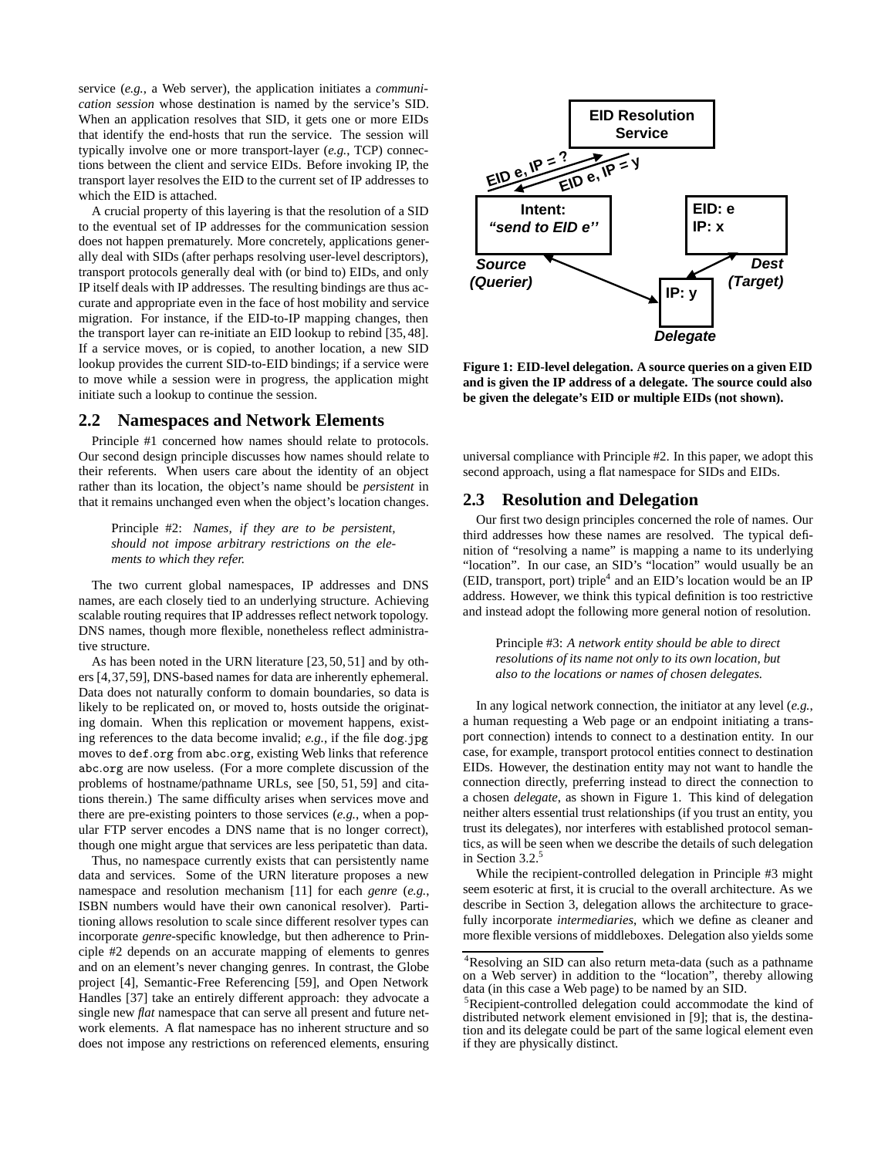service (*e.g.*, a Web server), the application initiates a *communication session* whose destination is named by the service's SID. When an application resolves that SID, it gets one or more EIDs that identify the end-hosts that run the service. The session will typically involve one or more transport-layer (*e.g.*, TCP) connections between the client and service EIDs. Before invoking IP, the transport layer resolves the EID to the current set of IP addresses to which the EID is attached.

A crucial property of this layering is that the resolution of a SID to the eventual set of IP addresses for the communication session does not happen prematurely. More concretely, applications generally deal with SIDs (after perhaps resolving user-level descriptors), transport protocols generally deal with (or bind to) EIDs, and only IP itself deals with IP addresses. The resulting bindings are thus accurate and appropriate even in the face of host mobility and service migration. For instance, if the EID-to-IP mapping changes, then the transport layer can re-initiate an EID lookup to rebind [35, 48]. If a service moves, or is copied, to another location, a new SID lookup provides the current SID-to-EID bindings; if a service were to move while a session were in progress, the application might initiate such a lookup to continue the session.

#### **2.2 Namespaces and Network Elements**

Principle #1 concerned how names should relate to protocols. Our second design principle discusses how names should relate to their referents. When users care about the identity of an object rather than its location, the object's name should be *persistent* in that it remains unchanged even when the object's location changes.

Principle #2: *Names, if they are to be persistent, should not impose arbitrary restrictions on the elements to which they refer.*

The two current global namespaces, IP addresses and DNS names, are each closely tied to an underlying structure. Achieving scalable routing requires that IP addresses reflect network topology. DNS names, though more flexible, nonetheless reflect administrative structure.

As has been noted in the URN literature [23, 50, 51] and by others [4,37,59], DNS-based names for data are inherently ephemeral. Data does not naturally conform to domain boundaries, so data is likely to be replicated on, or moved to, hosts outside the originating domain. When this replication or movement happens, existing references to the data become invalid; *e.g.*, if the file dog*.*jpg moves to def*.*org from abc*.*org, existing Web links that reference abc*.*org are now useless. (For a more complete discussion of the problems of hostname/pathname URLs, see [50, 51, 59] and citations therein.) The same difficulty arises when services move and there are pre-existing pointers to those services (*e.g.*, when a popular FTP server encodes a DNS name that is no longer correct), though one might argue that services are less peripatetic than data.

Thus, no namespace currently exists that can persistently name data and services. Some of the URN literature proposes a new namespace and resolution mechanism [11] for each *genre* (*e.g.*, ISBN numbers would have their own canonical resolver). Partitioning allows resolution to scale since different resolver types can incorporate *genre*-specific knowledge, but then adherence to Principle #2 depends on an accurate mapping of elements to genres and on an element's never changing genres. In contrast, the Globe project [4], Semantic-Free Referencing [59], and Open Network Handles [37] take an entirely different approach: they advocate a single new *flat* namespace that can serve all present and future network elements. A flat namespace has no inherent structure and so does not impose any restrictions on referenced elements, ensuring



**Figure 1: EID-level delegation. A source queries on a given EID and is given the IP address of a delegate. The source could also be given the delegate's EID or multiple EIDs (not shown).**

universal compliance with Principle #2. In this paper, we adopt this second approach, using a flat namespace for SIDs and EIDs.

#### **2.3 Resolution and Delegation**

Our first two design principles concerned the role of names. Our third addresses how these names are resolved. The typical definition of "resolving a name" is mapping a name to its underlying "location". In our case, an SID's "location" would usually be an (EID, transport, port) triple<sup>4</sup> and an EID's location would be an IP address. However, we think this typical definition is too restrictive and instead adopt the following more general notion of resolution.

Principle #3: *A network entity should be able to direct resolutions of its name not only to its own location, but also to the locations or names of chosen delegates.*

In any logical network connection, the initiator at any level (*e.g.*, a human requesting a Web page or an endpoint initiating a transport connection) intends to connect to a destination entity. In our case, for example, transport protocol entities connect to destination EIDs. However, the destination entity may not want to handle the connection directly, preferring instead to direct the connection to a chosen *delegate*, as shown in Figure 1. This kind of delegation neither alters essential trust relationships (if you trust an entity, you trust its delegates), nor interferes with established protocol semantics, as will be seen when we describe the details of such delegation in Section  $3.2<sup>5</sup>$ 

While the recipient-controlled delegation in Principle #3 might seem esoteric at first, it is crucial to the overall architecture. As we describe in Section 3, delegation allows the architecture to gracefully incorporate *intermediaries*, which we define as cleaner and more flexible versions of middleboxes. Delegation also yields some

<sup>4</sup> Resolving an SID can also return meta-data (such as a pathname on a Web server) in addition to the "location", thereby allowing data (in this case a Web page) to be named by an SID.

<sup>&</sup>lt;sup>5</sup>Recipient-controlled delegation could accommodate the kind of distributed network element envisioned in [9]; that is, the destination and its delegate could be part of the same logical element even if they are physically distinct.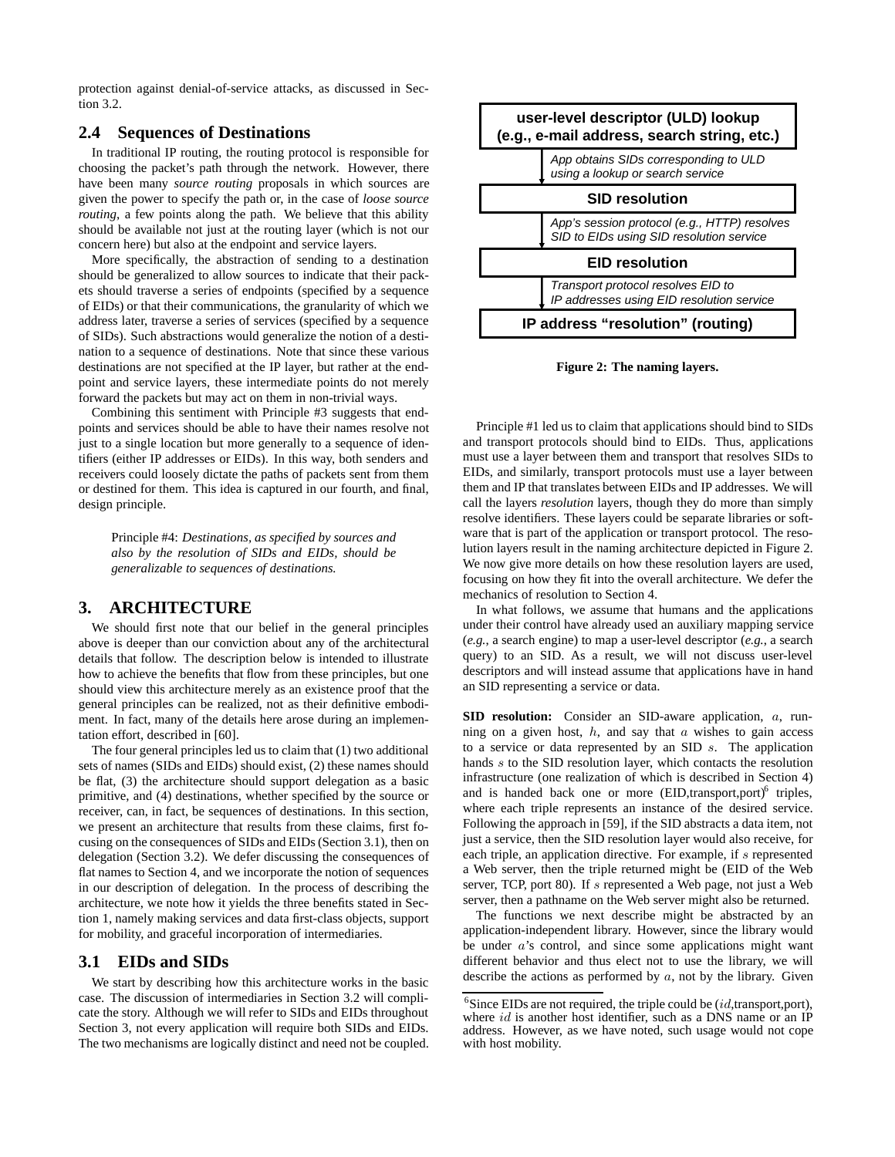protection against denial-of-service attacks, as discussed in Section 3.2.

## **2.4 Sequences of Destinations**

In traditional IP routing, the routing protocol is responsible for choosing the packet's path through the network. However, there have been many *source routing* proposals in which sources are given the power to specify the path or, in the case of *loose source routing*, a few points along the path. We believe that this ability should be available not just at the routing layer (which is not our concern here) but also at the endpoint and service layers.

More specifically, the abstraction of sending to a destination should be generalized to allow sources to indicate that their packets should traverse a series of endpoints (specified by a sequence of EIDs) or that their communications, the granularity of which we address later, traverse a series of services (specified by a sequence of SIDs). Such abstractions would generalize the notion of a destination to a sequence of destinations. Note that since these various destinations are not specified at the IP layer, but rather at the endpoint and service layers, these intermediate points do not merely forward the packets but may act on them in non-trivial ways.

Combining this sentiment with Principle #3 suggests that endpoints and services should be able to have their names resolve not just to a single location but more generally to a sequence of identifiers (either IP addresses or EIDs). In this way, both senders and receivers could loosely dictate the paths of packets sent from them or destined for them. This idea is captured in our fourth, and final, design principle.

Principle #4: *Destinations, as specified by sources and also by the resolution of SIDs and EIDs, should be generalizable to sequences of destinations.*

## **3. ARCHITECTURE**

We should first note that our belief in the general principles above is deeper than our conviction about any of the architectural details that follow. The description below is intended to illustrate how to achieve the benefits that flow from these principles, but one should view this architecture merely as an existence proof that the general principles can be realized, not as their definitive embodiment. In fact, many of the details here arose during an implementation effort, described in [60].

The four general principles led us to claim that (1) two additional sets of names (SIDs and EIDs) should exist, (2) these names should be flat, (3) the architecture should support delegation as a basic primitive, and (4) destinations, whether specified by the source or receiver, can, in fact, be sequences of destinations. In this section, we present an architecture that results from these claims, first focusing on the consequences of SIDs and EIDs (Section 3.1), then on delegation (Section 3.2). We defer discussing the consequences of flat names to Section 4, and we incorporate the notion of sequences in our description of delegation. In the process of describing the architecture, we note how it yields the three benefits stated in Section 1, namely making services and data first-class objects, support for mobility, and graceful incorporation of intermediaries.

#### **3.1 EIDs and SIDs**

We start by describing how this architecture works in the basic case. The discussion of intermediaries in Section 3.2 will complicate the story. Although we will refer to SIDs and EIDs throughout Section 3, not every application will require both SIDs and EIDs. The two mechanisms are logically distinct and need not be coupled.



**Figure 2: The naming layers.**

Principle #1 led us to claim that applications should bind to SIDs and transport protocols should bind to EIDs. Thus, applications must use a layer between them and transport that resolves SIDs to EIDs, and similarly, transport protocols must use a layer between them and IP that translates between EIDs and IP addresses. We will call the layers *resolution* layers, though they do more than simply resolve identifiers. These layers could be separate libraries or software that is part of the application or transport protocol. The resolution layers result in the naming architecture depicted in Figure 2. We now give more details on how these resolution layers are used, focusing on how they fit into the overall architecture. We defer the mechanics of resolution to Section 4.

In what follows, we assume that humans and the applications under their control have already used an auxiliary mapping service (*e.g.*, a search engine) to map a user-level descriptor (*e.g.*, a search query) to an SID. As a result, we will not discuss user-level descriptors and will instead assume that applications have in hand an SID representing a service or data.

**SID resolution:** Consider an SID-aware application, *a*, running on a given host, *h*, and say that *a* wishes to gain access to a service or data represented by an SID *s*. The application hands *s* to the SID resolution layer, which contacts the resolution infrastructure (one realization of which is described in Section 4) and is handed back one or more  $(EID, transport, port)^6$  triples, where each triple represents an instance of the desired service. Following the approach in [59], if the SID abstracts a data item, not just a service, then the SID resolution layer would also receive, for each triple, an application directive. For example, if *s* represented a Web server, then the triple returned might be (EID of the Web server, TCP, port 80). If *s* represented a Web page, not just a Web server, then a pathname on the Web server might also be returned.

The functions we next describe might be abstracted by an application-independent library. However, since the library would be under *a*'s control, and since some applications might want different behavior and thus elect not to use the library, we will describe the actions as performed by *a*, not by the library. Given

 ${}^{6}$ Since EIDs are not required, the triple could be  $(id,$ transport,port), where *id* is another host identifier, such as a DNS name or an IP address. However, as we have noted, such usage would not cope with host mobility.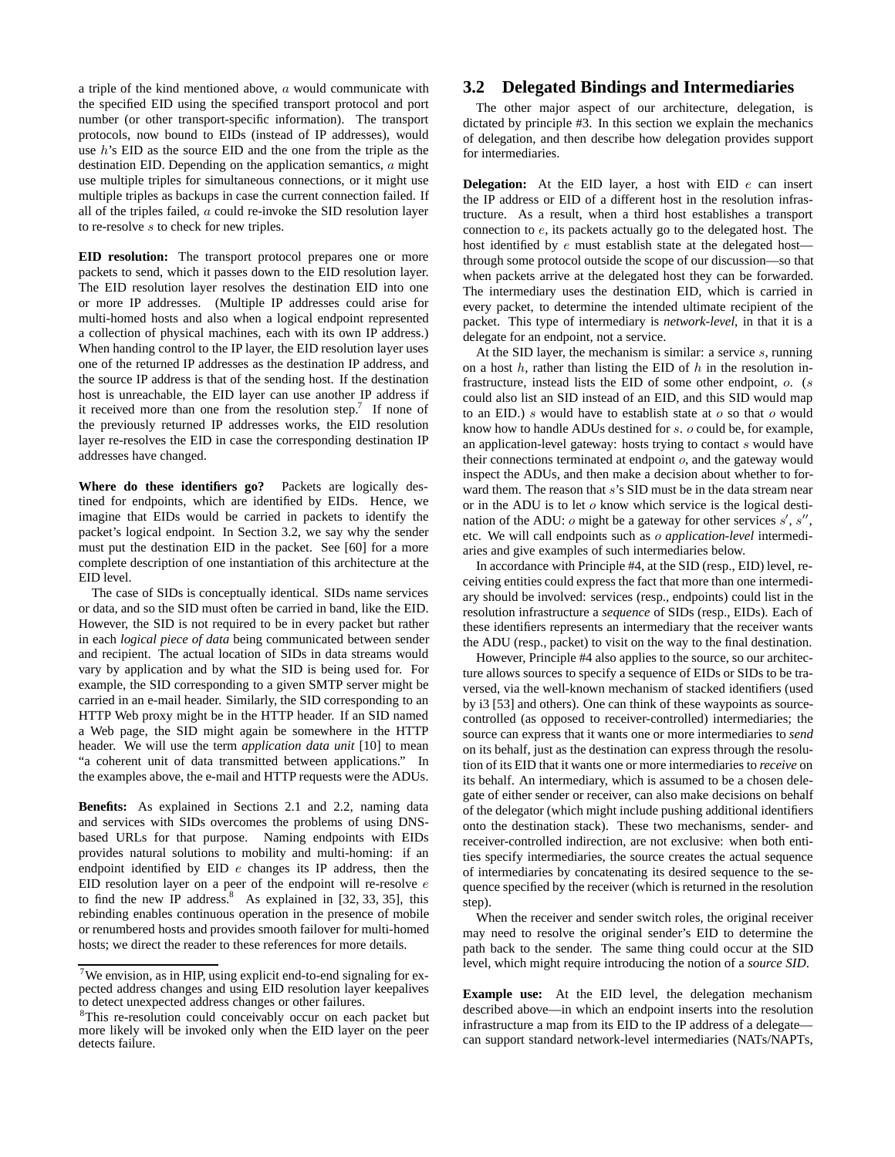a triple of the kind mentioned above, *a* would communicate with the specified EID using the specified transport protocol and port number (or other transport-specific information). The transport protocols, now bound to EIDs (instead of IP addresses), would use *h*'s EID as the source EID and the one from the triple as the destination EID. Depending on the application semantics, *a* might use multiple triples for simultaneous connections, or it might use multiple triples as backups in case the current connection failed. If all of the triples failed, *a* could re-invoke the SID resolution layer to re-resolve *s* to check for new triples.

**EID resolution:** The transport protocol prepares one or more packets to send, which it passes down to the EID resolution layer. The EID resolution layer resolves the destination EID into one or more IP addresses. (Multiple IP addresses could arise for multi-homed hosts and also when a logical endpoint represented a collection of physical machines, each with its own IP address.) When handing control to the IP layer, the EID resolution layer uses one of the returned IP addresses as the destination IP address, and the source IP address is that of the sending host. If the destination host is unreachable, the EID layer can use another IP address if it received more than one from the resolution step.<sup>7</sup> If none of the previously returned IP addresses works, the EID resolution layer re-resolves the EID in case the corresponding destination IP addresses have changed.

**Where do these identifiers go?** Packets are logically destined for endpoints, which are identified by EIDs. Hence, we imagine that EIDs would be carried in packets to identify the packet's logical endpoint. In Section 3.2, we say why the sender must put the destination EID in the packet. See [60] for a more complete description of one instantiation of this architecture at the EID level.

The case of SIDs is conceptually identical. SIDs name services or data, and so the SID must often be carried in band, like the EID. However, the SID is not required to be in every packet but rather in each *logical piece of data* being communicated between sender and recipient. The actual location of SIDs in data streams would vary by application and by what the SID is being used for. For example, the SID corresponding to a given SMTP server might be carried in an e-mail header. Similarly, the SID corresponding to an HTTP Web proxy might be in the HTTP header. If an SID named a Web page, the SID might again be somewhere in the HTTP header. We will use the term *application data unit* [10] to mean "a coherent unit of data transmitted between applications." In the examples above, the e-mail and HTTP requests were the ADUs.

**Benefits:** As explained in Sections 2.1 and 2.2, naming data and services with SIDs overcomes the problems of using DNSbased URLs for that purpose. Naming endpoints with EIDs provides natural solutions to mobility and multi-homing: if an endpoint identified by EID *e* changes its IP address, then the EID resolution layer on a peer of the endpoint will re-resolve *e* to find the new IP address. $8$  As explained in [32, 33, 35], this rebinding enables continuous operation in the presence of mobile or renumbered hosts and provides smooth failover for multi-homed hosts; we direct the reader to these references for more details.

## **3.2 Delegated Bindings and Intermediaries**

The other major aspect of our architecture, delegation, is dictated by principle #3. In this section we explain the mechanics of delegation, and then describe how delegation provides support for intermediaries.

**Delegation:** At the EID layer, a host with EID *e* can insert the IP address or EID of a different host in the resolution infrastructure. As a result, when a third host establishes a transport connection to *e*, its packets actually go to the delegated host. The host identified by *e* must establish state at the delegated host through some protocol outside the scope of our discussion—so that when packets arrive at the delegated host they can be forwarded. The intermediary uses the destination EID, which is carried in every packet, to determine the intended ultimate recipient of the packet. This type of intermediary is *network-level*, in that it is a delegate for an endpoint, not a service.

At the SID layer, the mechanism is similar: a service *s*, running on a host *h*, rather than listing the EID of *h* in the resolution infrastructure, instead lists the EID of some other endpoint, *o*. (*s* could also list an SID instead of an EID, and this SID would map to an EID.) *s* would have to establish state at *o* so that *o* would know how to handle ADUs destined for *s*. *o* could be, for example, an application-level gateway: hosts trying to contact *s* would have their connections terminated at endpoint *o*, and the gateway would inspect the ADUs, and then make a decision about whether to forward them. The reason that *s*'s SID must be in the data stream near or in the ADU is to let *o* know which service is the logical destination of the ADU:  $o$  might be a gateway for other services  $s'$ ,  $s''$ , etc. We will call endpoints such as *o application-level* intermediaries and give examples of such intermediaries below.

In accordance with Principle #4, at the SID (resp., EID) level, receiving entities could express the fact that more than one intermediary should be involved: services (resp., endpoints) could list in the resolution infrastructure a *sequence* of SIDs (resp., EIDs). Each of these identifiers represents an intermediary that the receiver wants the ADU (resp., packet) to visit on the way to the final destination.

However, Principle #4 also applies to the source, so our architecture allows sources to specify a sequence of EIDs or SIDs to be traversed, via the well-known mechanism of stacked identifiers (used by i3 [53] and others). One can think of these waypoints as sourcecontrolled (as opposed to receiver-controlled) intermediaries; the source can express that it wants one or more intermediaries to *send* on its behalf, just as the destination can express through the resolution of its EID that it wants one or more intermediaries to *receive* on its behalf. An intermediary, which is assumed to be a chosen delegate of either sender or receiver, can also make decisions on behalf of the delegator (which might include pushing additional identifiers onto the destination stack). These two mechanisms, sender- and receiver-controlled indirection, are not exclusive: when both entities specify intermediaries, the source creates the actual sequence of intermediaries by concatenating its desired sequence to the sequence specified by the receiver (which is returned in the resolution step).

When the receiver and sender switch roles, the original receiver may need to resolve the original sender's EID to determine the path back to the sender. The same thing could occur at the SID level, which might require introducing the notion of a *source SID*.

**Example use:** At the EID level, the delegation mechanism described above—in which an endpoint inserts into the resolution infrastructure a map from its EID to the IP address of a delegate can support standard network-level intermediaries (NATs/NAPTs,

<sup>&</sup>lt;sup>7</sup>We envision, as in HIP, using explicit end-to-end signaling for expected address changes and using EID resolution layer keepalives to detect unexpected address changes or other failures.

<sup>&</sup>lt;sup>8</sup>This re-resolution could conceivably occur on each packet but more likely will be invoked only when the EID layer on the peer detects failure.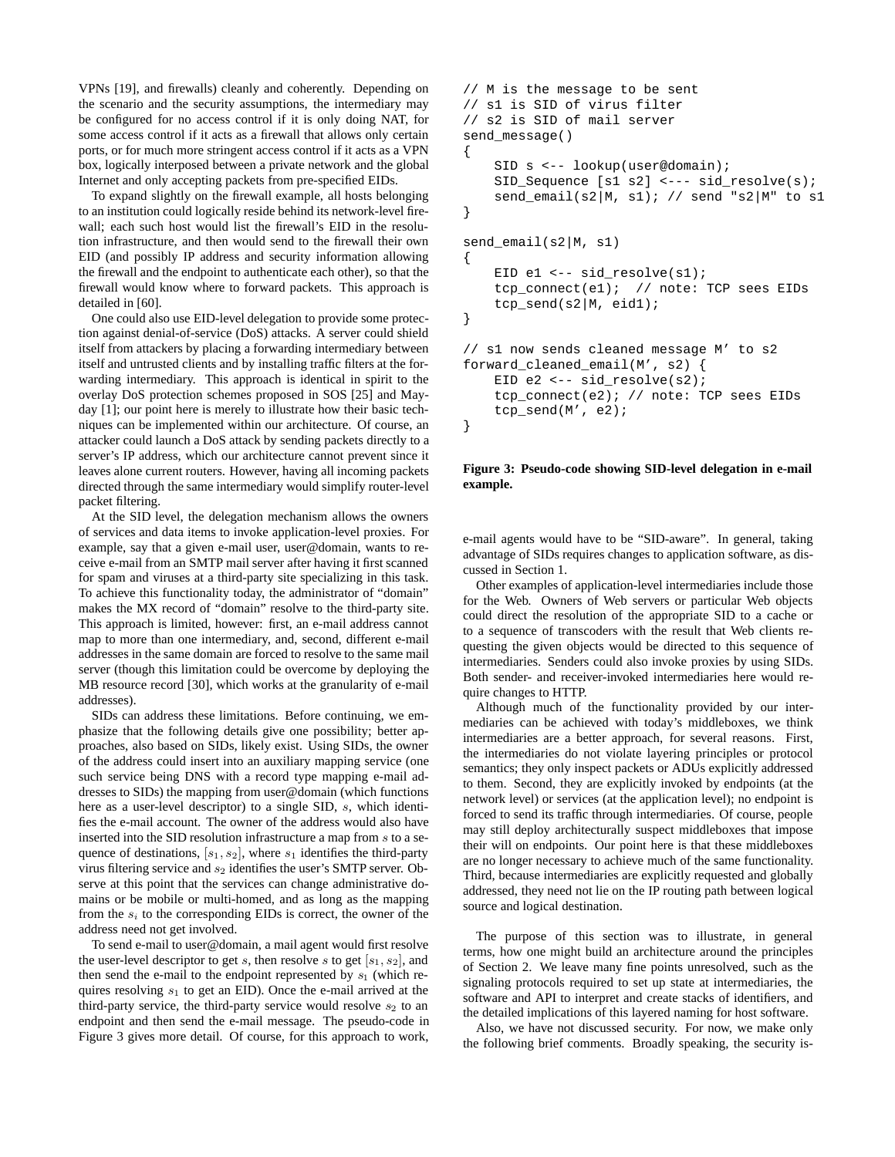VPNs [19], and firewalls) cleanly and coherently. Depending on the scenario and the security assumptions, the intermediary may be configured for no access control if it is only doing NAT, for some access control if it acts as a firewall that allows only certain ports, or for much more stringent access control if it acts as a VPN box, logically interposed between a private network and the global Internet and only accepting packets from pre-specified EIDs.

To expand slightly on the firewall example, all hosts belonging to an institution could logically reside behind its network-level firewall; each such host would list the firewall's EID in the resolution infrastructure, and then would send to the firewall their own EID (and possibly IP address and security information allowing the firewall and the endpoint to authenticate each other), so that the firewall would know where to forward packets. This approach is detailed in [60].

One could also use EID-level delegation to provide some protection against denial-of-service (DoS) attacks. A server could shield itself from attackers by placing a forwarding intermediary between itself and untrusted clients and by installing traffic filters at the forwarding intermediary. This approach is identical in spirit to the overlay DoS protection schemes proposed in SOS [25] and Mayday [1]; our point here is merely to illustrate how their basic techniques can be implemented within our architecture. Of course, an attacker could launch a DoS attack by sending packets directly to a server's IP address, which our architecture cannot prevent since it leaves alone current routers. However, having all incoming packets directed through the same intermediary would simplify router-level packet filtering.

At the SID level, the delegation mechanism allows the owners of services and data items to invoke application-level proxies. For example, say that a given e-mail user, user@domain, wants to receive e-mail from an SMTP mail server after having it first scanned for spam and viruses at a third-party site specializing in this task. To achieve this functionality today, the administrator of "domain" makes the MX record of "domain" resolve to the third-party site. This approach is limited, however: first, an e-mail address cannot map to more than one intermediary, and, second, different e-mail addresses in the same domain are forced to resolve to the same mail server (though this limitation could be overcome by deploying the MB resource record [30], which works at the granularity of e-mail addresses).

SIDs can address these limitations. Before continuing, we emphasize that the following details give one possibility; better approaches, also based on SIDs, likely exist. Using SIDs, the owner of the address could insert into an auxiliary mapping service (one such service being DNS with a record type mapping e-mail addresses to SIDs) the mapping from user@domain (which functions here as a user-level descriptor) to a single SID, *s*, which identifies the e-mail account. The owner of the address would also have inserted into the SID resolution infrastructure a map from *s* to a sequence of destinations,  $[s_1, s_2]$ , where  $s_1$  identifies the third-party virus filtering service and  $s_2$  identifies the user's SMTP server. Observe at this point that the services can change administrative domains or be mobile or multi-homed, and as long as the mapping from the *s<sup>i</sup>* to the corresponding EIDs is correct, the owner of the address need not get involved.

To send e-mail to user@domain, a mail agent would first resolve the user-level descriptor to get *s*, then resolve *s* to get  $[s_1, s_2]$ , and then send the e-mail to the endpoint represented by  $s_1$  (which requires resolving *s*<sup>1</sup> to get an EID). Once the e-mail arrived at the third-party service, the third-party service would resolve  $s_2$  to an endpoint and then send the e-mail message. The pseudo-code in Figure 3 gives more detail. Of course, for this approach to work,

```
// M is the message to be sent
// s1 is SID of virus filter
// s2 is SID of mail server
send_message()
\{SID s <-- lookup(user@domain);
    SID_Sequence [s1 s2] <--- sid_resolve(s);
    send_email(s2|M, s1); // send "s2|M" to s1
}
send_email(s2|M, s1)
{
    EID e1 <-- sid_resolve(s1);
    tcp_connect(e1); // note: TCP sees EIDs
    tcp_send(s2|M, eid1);
}
// s1 now sends cleaned message M' to s2
forward_cleaned_email(M', s2) {
    EID e2 \leftarrow - sid_resolve(s2);
    tcp_connect(e2); // note: TCP sees EIDs
    tcp_send(M', e2);
}
```
#### **Figure 3: Pseudo-code showing SID-level delegation in e-mail example.**

e-mail agents would have to be "SID-aware". In general, taking advantage of SIDs requires changes to application software, as discussed in Section 1.

Other examples of application-level intermediaries include those for the Web. Owners of Web servers or particular Web objects could direct the resolution of the appropriate SID to a cache or to a sequence of transcoders with the result that Web clients requesting the given objects would be directed to this sequence of intermediaries. Senders could also invoke proxies by using SIDs. Both sender- and receiver-invoked intermediaries here would require changes to HTTP.

Although much of the functionality provided by our intermediaries can be achieved with today's middleboxes, we think intermediaries are a better approach, for several reasons. First, the intermediaries do not violate layering principles or protocol semantics; they only inspect packets or ADUs explicitly addressed to them. Second, they are explicitly invoked by endpoints (at the network level) or services (at the application level); no endpoint is forced to send its traffic through intermediaries. Of course, people may still deploy architecturally suspect middleboxes that impose their will on endpoints. Our point here is that these middleboxes are no longer necessary to achieve much of the same functionality. Third, because intermediaries are explicitly requested and globally addressed, they need not lie on the IP routing path between logical source and logical destination.

The purpose of this section was to illustrate, in general terms, how one might build an architecture around the principles of Section 2. We leave many fine points unresolved, such as the signaling protocols required to set up state at intermediaries, the software and API to interpret and create stacks of identifiers, and the detailed implications of this layered naming for host software.

Also, we have not discussed security. For now, we make only the following brief comments. Broadly speaking, the security is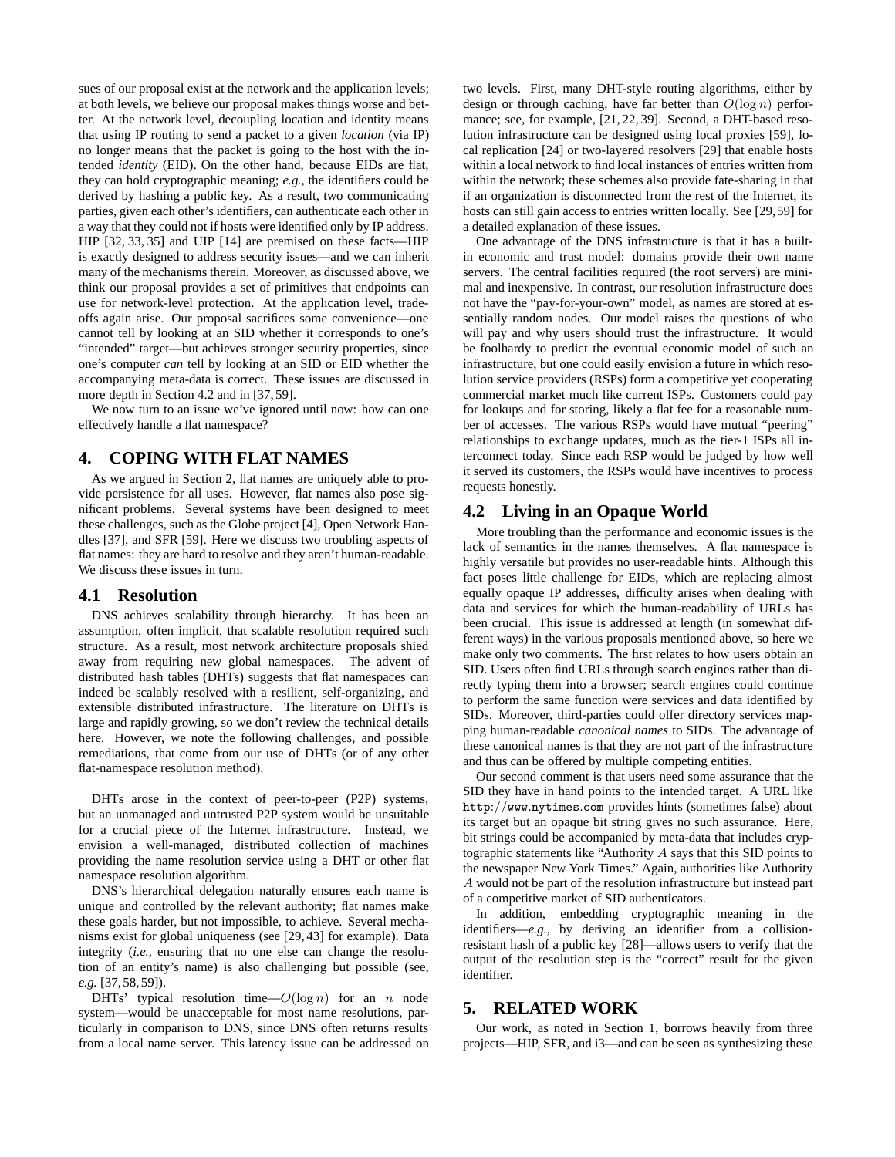sues of our proposal exist at the network and the application levels; at both levels, we believe our proposal makes things worse and better. At the network level, decoupling location and identity means that using IP routing to send a packet to a given *location* (via IP) no longer means that the packet is going to the host with the intended *identity* (EID). On the other hand, because EIDs are flat, they can hold cryptographic meaning; *e.g.*, the identifiers could be derived by hashing a public key. As a result, two communicating parties, given each other's identifiers, can authenticate each other in a way that they could not if hosts were identified only by IP address. HIP [32, 33, 35] and UIP [14] are premised on these facts—HIP is exactly designed to address security issues—and we can inherit many of the mechanisms therein. Moreover, as discussed above, we think our proposal provides a set of primitives that endpoints can use for network-level protection. At the application level, tradeoffs again arise. Our proposal sacrifices some convenience—one cannot tell by looking at an SID whether it corresponds to one's "intended" target—but achieves stronger security properties, since one's computer *can* tell by looking at an SID or EID whether the accompanying meta-data is correct. These issues are discussed in more depth in Section 4.2 and in [37, 59].

We now turn to an issue we've ignored until now: how can one effectively handle a flat namespace?

# **4. COPING WITH FLAT NAMES**

As we argued in Section 2, flat names are uniquely able to provide persistence for all uses. However, flat names also pose significant problems. Several systems have been designed to meet these challenges, such as the Globe project [4], Open Network Handles [37], and SFR [59]. Here we discuss two troubling aspects of flat names: they are hard to resolve and they aren't human-readable. We discuss these issues in turn.

#### **4.1 Resolution**

DNS achieves scalability through hierarchy. It has been an assumption, often implicit, that scalable resolution required such structure. As a result, most network architecture proposals shied away from requiring new global namespaces. The advent of distributed hash tables (DHTs) suggests that flat namespaces can indeed be scalably resolved with a resilient, self-organizing, and extensible distributed infrastructure. The literature on DHTs is large and rapidly growing, so we don't review the technical details here. However, we note the following challenges, and possible remediations, that come from our use of DHTs (or of any other flat-namespace resolution method).

DHTs arose in the context of peer-to-peer (P2P) systems, but an unmanaged and untrusted P2P system would be unsuitable for a crucial piece of the Internet infrastructure. Instead, we envision a well-managed, distributed collection of machines providing the name resolution service using a DHT or other flat namespace resolution algorithm.

DNS's hierarchical delegation naturally ensures each name is unique and controlled by the relevant authority; flat names make these goals harder, but not impossible, to achieve. Several mechanisms exist for global uniqueness (see [29, 43] for example). Data integrity (*i.e.*, ensuring that no one else can change the resolution of an entity's name) is also challenging but possible (see, *e.g.* [37, 58, 59]).

DHTs' typical resolution time— $O(\log n)$  for an *n* node system—would be unacceptable for most name resolutions, particularly in comparison to DNS, since DNS often returns results from a local name server. This latency issue can be addressed on two levels. First, many DHT-style routing algorithms, either by design or through caching, have far better than  $O(\log n)$  performance; see, for example, [21, 22, 39]. Second, a DHT-based resolution infrastructure can be designed using local proxies [59], local replication [24] or two-layered resolvers [29] that enable hosts within a local network to find local instances of entries written from within the network; these schemes also provide fate-sharing in that if an organization is disconnected from the rest of the Internet, its hosts can still gain access to entries written locally. See [29,59] for a detailed explanation of these issues.

One advantage of the DNS infrastructure is that it has a builtin economic and trust model: domains provide their own name servers. The central facilities required (the root servers) are minimal and inexpensive. In contrast, our resolution infrastructure does not have the "pay-for-your-own" model, as names are stored at essentially random nodes. Our model raises the questions of who will pay and why users should trust the infrastructure. It would be foolhardy to predict the eventual economic model of such an infrastructure, but one could easily envision a future in which resolution service providers (RSPs) form a competitive yet cooperating commercial market much like current ISPs. Customers could pay for lookups and for storing, likely a flat fee for a reasonable number of accesses. The various RSPs would have mutual "peering" relationships to exchange updates, much as the tier-1 ISPs all interconnect today. Since each RSP would be judged by how well it served its customers, the RSPs would have incentives to process requests honestly.

#### **4.2 Living in an Opaque World**

More troubling than the performance and economic issues is the lack of semantics in the names themselves. A flat namespace is highly versatile but provides no user-readable hints. Although this fact poses little challenge for EIDs, which are replacing almost equally opaque IP addresses, difficulty arises when dealing with data and services for which the human-readability of URLs has been crucial. This issue is addressed at length (in somewhat different ways) in the various proposals mentioned above, so here we make only two comments. The first relates to how users obtain an SID. Users often find URLs through search engines rather than directly typing them into a browser; search engines could continue to perform the same function were services and data identified by SIDs. Moreover, third-parties could offer directory services mapping human-readable *canonical names* to SIDs. The advantage of these canonical names is that they are not part of the infrastructure and thus can be offered by multiple competing entities.

Our second comment is that users need some assurance that the SID they have in hand points to the intended target. A URL like http:*//*www*.*nytimes*.*com provides hints (sometimes false) about its target but an opaque bit string gives no such assurance. Here, bit strings could be accompanied by meta-data that includes cryptographic statements like "Authority *A* says that this SID points to the newspaper New York Times." Again, authorities like Authority *A* would not be part of the resolution infrastructure but instead part of a competitive market of SID authenticators.

In addition, embedding cryptographic meaning in the identifiers—*e.g.*, by deriving an identifier from a collisionresistant hash of a public key [28]—allows users to verify that the output of the resolution step is the "correct" result for the given identifier.

## **5. RELATED WORK**

Our work, as noted in Section 1, borrows heavily from three projects—HIP, SFR, and i3—and can be seen as synthesizing these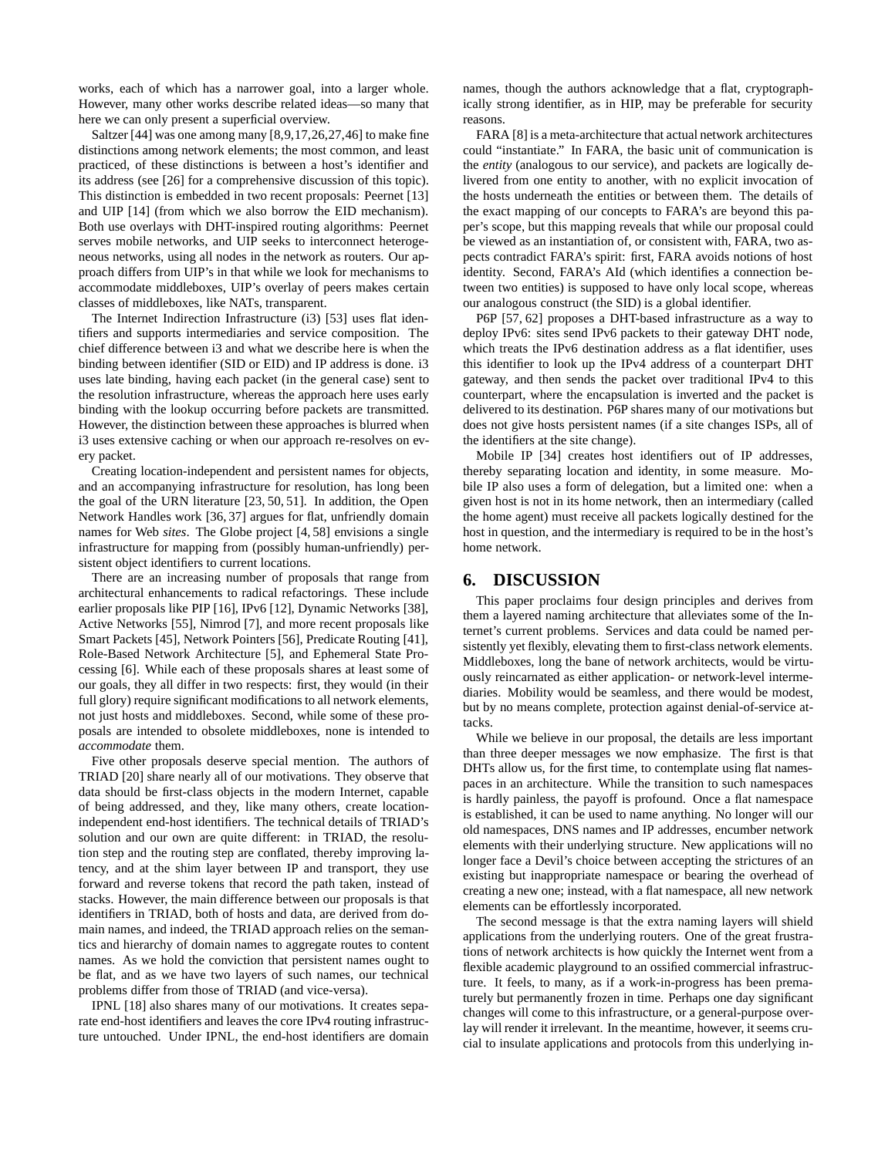works, each of which has a narrower goal, into a larger whole. However, many other works describe related ideas—so many that here we can only present a superficial overview.

Saltzer [44] was one among many [8,9,17,26,27,46] to make fine distinctions among network elements; the most common, and least practiced, of these distinctions is between a host's identifier and its address (see [26] for a comprehensive discussion of this topic). This distinction is embedded in two recent proposals: Peernet [13] and UIP [14] (from which we also borrow the EID mechanism). Both use overlays with DHT-inspired routing algorithms: Peernet serves mobile networks, and UIP seeks to interconnect heterogeneous networks, using all nodes in the network as routers. Our approach differs from UIP's in that while we look for mechanisms to accommodate middleboxes, UIP's overlay of peers makes certain classes of middleboxes, like NATs, transparent.

The Internet Indirection Infrastructure (i3) [53] uses flat identifiers and supports intermediaries and service composition. The chief difference between i3 and what we describe here is when the binding between identifier (SID or EID) and IP address is done. i3 uses late binding, having each packet (in the general case) sent to the resolution infrastructure, whereas the approach here uses early binding with the lookup occurring before packets are transmitted. However, the distinction between these approaches is blurred when i3 uses extensive caching or when our approach re-resolves on every packet.

Creating location-independent and persistent names for objects, and an accompanying infrastructure for resolution, has long been the goal of the URN literature [23, 50, 51]. In addition, the Open Network Handles work [36, 37] argues for flat, unfriendly domain names for Web *sites*. The Globe project [4, 58] envisions a single infrastructure for mapping from (possibly human-unfriendly) persistent object identifiers to current locations.

There are an increasing number of proposals that range from architectural enhancements to radical refactorings. These include earlier proposals like PIP [16], IPv6 [12], Dynamic Networks [38], Active Networks [55], Nimrod [7], and more recent proposals like Smart Packets [45], Network Pointers [56], Predicate Routing [41], Role-Based Network Architecture [5], and Ephemeral State Processing [6]. While each of these proposals shares at least some of our goals, they all differ in two respects: first, they would (in their full glory) require significant modifications to all network elements, not just hosts and middleboxes. Second, while some of these proposals are intended to obsolete middleboxes, none is intended to *accommodate* them.

Five other proposals deserve special mention. The authors of TRIAD [20] share nearly all of our motivations. They observe that data should be first-class objects in the modern Internet, capable of being addressed, and they, like many others, create locationindependent end-host identifiers. The technical details of TRIAD's solution and our own are quite different: in TRIAD, the resolution step and the routing step are conflated, thereby improving latency, and at the shim layer between IP and transport, they use forward and reverse tokens that record the path taken, instead of stacks. However, the main difference between our proposals is that identifiers in TRIAD, both of hosts and data, are derived from domain names, and indeed, the TRIAD approach relies on the semantics and hierarchy of domain names to aggregate routes to content names. As we hold the conviction that persistent names ought to be flat, and as we have two layers of such names, our technical problems differ from those of TRIAD (and vice-versa).

IPNL [18] also shares many of our motivations. It creates separate end-host identifiers and leaves the core IPv4 routing infrastructure untouched. Under IPNL, the end-host identifiers are domain names, though the authors acknowledge that a flat, cryptographically strong identifier, as in HIP, may be preferable for security reasons.

FARA [8] is a meta-architecture that actual network architectures could "instantiate." In FARA, the basic unit of communication is the *entity* (analogous to our service), and packets are logically delivered from one entity to another, with no explicit invocation of the hosts underneath the entities or between them. The details of the exact mapping of our concepts to FARA's are beyond this paper's scope, but this mapping reveals that while our proposal could be viewed as an instantiation of, or consistent with, FARA, two aspects contradict FARA's spirit: first, FARA avoids notions of host identity. Second, FARA's AId (which identifies a connection between two entities) is supposed to have only local scope, whereas our analogous construct (the SID) is a global identifier.

P6P [57, 62] proposes a DHT-based infrastructure as a way to deploy IPv6: sites send IPv6 packets to their gateway DHT node, which treats the IPv6 destination address as a flat identifier, uses this identifier to look up the IPv4 address of a counterpart DHT gateway, and then sends the packet over traditional IPv4 to this counterpart, where the encapsulation is inverted and the packet is delivered to its destination. P6P shares many of our motivations but does not give hosts persistent names (if a site changes ISPs, all of the identifiers at the site change).

Mobile IP [34] creates host identifiers out of IP addresses, thereby separating location and identity, in some measure. Mobile IP also uses a form of delegation, but a limited one: when a given host is not in its home network, then an intermediary (called the home agent) must receive all packets logically destined for the host in question, and the intermediary is required to be in the host's home network.

#### **6. DISCUSSION**

This paper proclaims four design principles and derives from them a layered naming architecture that alleviates some of the Internet's current problems. Services and data could be named persistently yet flexibly, elevating them to first-class network elements. Middleboxes, long the bane of network architects, would be virtuously reincarnated as either application- or network-level intermediaries. Mobility would be seamless, and there would be modest, but by no means complete, protection against denial-of-service attacks.

While we believe in our proposal, the details are less important than three deeper messages we now emphasize. The first is that DHTs allow us, for the first time, to contemplate using flat namespaces in an architecture. While the transition to such namespaces is hardly painless, the payoff is profound. Once a flat namespace is established, it can be used to name anything. No longer will our old namespaces, DNS names and IP addresses, encumber network elements with their underlying structure. New applications will no longer face a Devil's choice between accepting the strictures of an existing but inappropriate namespace or bearing the overhead of creating a new one; instead, with a flat namespace, all new network elements can be effortlessly incorporated.

The second message is that the extra naming layers will shield applications from the underlying routers. One of the great frustrations of network architects is how quickly the Internet went from a flexible academic playground to an ossified commercial infrastructure. It feels, to many, as if a work-in-progress has been prematurely but permanently frozen in time. Perhaps one day significant changes will come to this infrastructure, or a general-purpose overlay will render it irrelevant. In the meantime, however, it seems crucial to insulate applications and protocols from this underlying in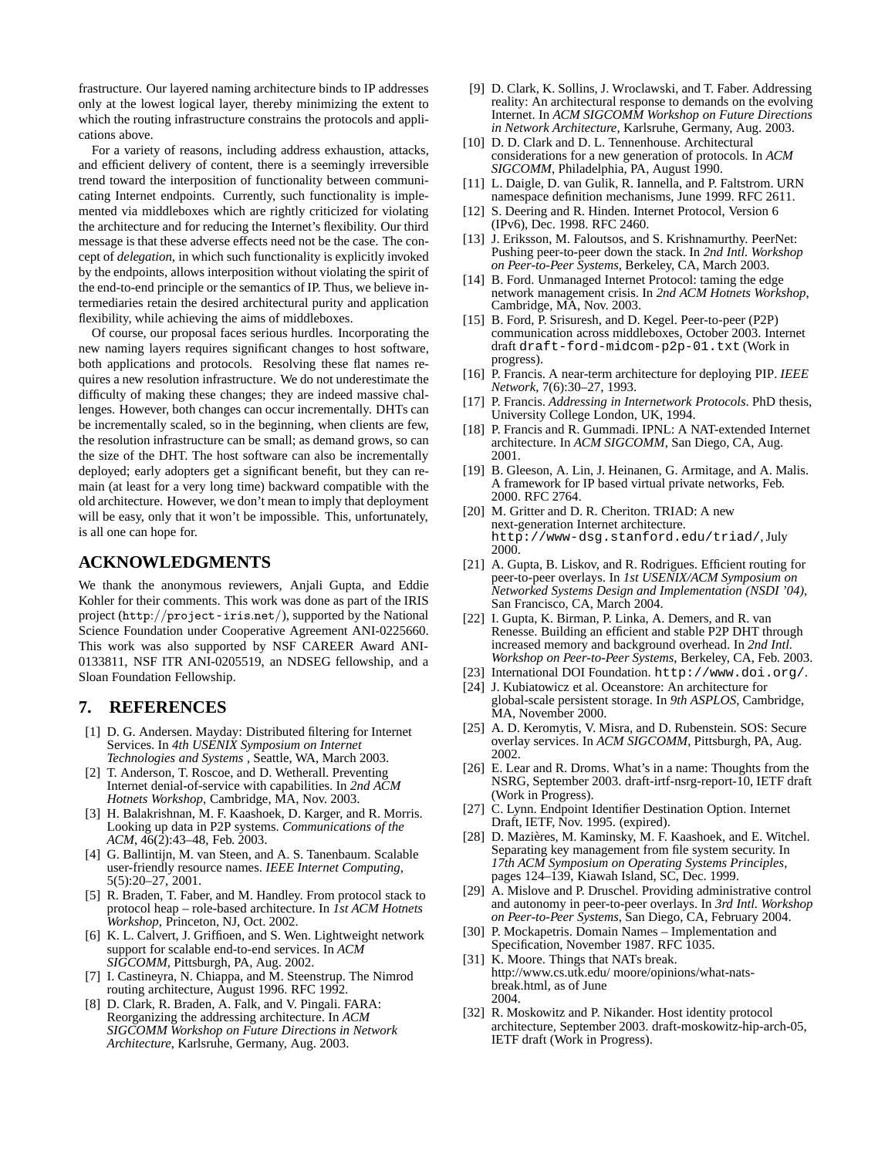frastructure. Our layered naming architecture binds to IP addresses only at the lowest logical layer, thereby minimizing the extent to which the routing infrastructure constrains the protocols and applications above.

For a variety of reasons, including address exhaustion, attacks, and efficient delivery of content, there is a seemingly irreversible trend toward the interposition of functionality between communicating Internet endpoints. Currently, such functionality is implemented via middleboxes which are rightly criticized for violating the architecture and for reducing the Internet's flexibility. Our third message is that these adverse effects need not be the case. The concept of *delegation*, in which such functionality is explicitly invoked by the endpoints, allows interposition without violating the spirit of the end-to-end principle or the semantics of IP. Thus, we believe intermediaries retain the desired architectural purity and application flexibility, while achieving the aims of middleboxes.

Of course, our proposal faces serious hurdles. Incorporating the new naming layers requires significant changes to host software, both applications and protocols. Resolving these flat names requires a new resolution infrastructure. We do not underestimate the difficulty of making these changes; they are indeed massive challenges. However, both changes can occur incrementally. DHTs can be incrementally scaled, so in the beginning, when clients are few, the resolution infrastructure can be small; as demand grows, so can the size of the DHT. The host software can also be incrementally deployed; early adopters get a significant benefit, but they can remain (at least for a very long time) backward compatible with the old architecture. However, we don't mean to imply that deployment will be easy, only that it won't be impossible. This, unfortunately, is all one can hope for.

## **ACKNOWLEDGMENTS**

We thank the anonymous reviewers, Anjali Gupta, and Eddie Kohler for their comments. This work was done as part of the IRIS project (http:*//*project-iris*.*net*/*), supported by the National Science Foundation under Cooperative Agreement ANI-0225660. This work was also supported by NSF CAREER Award ANI-0133811, NSF ITR ANI-0205519, an NDSEG fellowship, and a Sloan Foundation Fellowship.

## **7. REFERENCES**

- [1] D. G. Andersen. Mayday: Distributed filtering for Internet Services. In *4th USENIX Symposium on Internet Technologies and Systems* , Seattle, WA, March 2003.
- [2] T. Anderson, T. Roscoe, and D. Wetherall. Preventing Internet denial-of-service with capabilities. In *2nd ACM Hotnets Workshop*, Cambridge, MA, Nov. 2003.
- [3] H. Balakrishnan, M. F. Kaashoek, D. Karger, and R. Morris. Looking up data in P2P systems. *Communications of the ACM*, 46(2):43–48, Feb. 2003.
- [4] G. Ballintijn, M. van Steen, and A. S. Tanenbaum. Scalable user-friendly resource names. *IEEE Internet Computing*, 5(5):20–27, 2001.
- [5] R. Braden, T. Faber, and M. Handley. From protocol stack to protocol heap – role-based architecture. In *1st ACM Hotnets Workshop*, Princeton, NJ, Oct. 2002.
- [6] K. L. Calvert, J. Griffioen, and S. Wen. Lightweight network support for scalable end-to-end services. In *ACM SIGCOMM*, Pittsburgh, PA, Aug. 2002.
- [7] I. Castineyra, N. Chiappa, and M. Steenstrup. The Nimrod routing architecture, August 1996. RFC 1992.
- [8] D. Clark, R. Braden, A. Falk, and V. Pingali. FARA: Reorganizing the addressing architecture. In *ACM SIGCOMM Workshop on Future Directions in Network Architecture*, Karlsruhe, Germany, Aug. 2003.
- [9] D. Clark, K. Sollins, J. Wroclawski, and T. Faber. Addressing reality: An architectural response to demands on the evolving Internet. In *ACM SIGCOMM Workshop on Future Directions in Network Architecture*, Karlsruhe, Germany, Aug. 2003.
- [10] D. D. Clark and D. L. Tennenhouse. Architectural considerations for a new generation of protocols. In *ACM SIGCOMM*, Philadelphia, PA, August 1990.
- [11] L. Daigle, D. van Gulik, R. Iannella, and P. Faltstrom. URN namespace definition mechanisms, June 1999. RFC 2611.
- [12] S. Deering and R. Hinden. Internet Protocol, Version 6 (IPv6), Dec. 1998. RFC 2460.
- [13] J. Eriksson, M. Faloutsos, and S. Krishnamurthy. PeerNet: Pushing peer-to-peer down the stack. In *2nd Intl. Workshop on Peer-to-Peer Systems*, Berkeley, CA, March 2003.
- [14] B. Ford. Unmanaged Internet Protocol: taming the edge network management crisis. In *2nd ACM Hotnets Workshop*, Cambridge, MA, Nov. 2003.
- [15] B. Ford, P. Srisuresh, and D. Kegel. Peer-to-peer (P2P) communication across middleboxes, October 2003. Internet draft draft-ford-midcom-p2p-01.txt (Work in progress).
- [16] P. Francis. A near-term architecture for deploying PIP. *IEEE Network*, 7(6):30–27, 1993.
- [17] P. Francis. *Addressing in Internetwork Protocols*. PhD thesis, University College London, UK, 1994.
- [18] P. Francis and R. Gummadi. IPNL: A NAT-extended Internet architecture. In *ACM SIGCOMM*, San Diego, CA, Aug. 2001.
- [19] B. Gleeson, A. Lin, J. Heinanen, G. Armitage, and A. Malis. A framework for IP based virtual private networks, Feb. 2000. RFC 2764.
- [20] M. Gritter and D. R. Cheriton. TRIAD: A new next-generation Internet architecture. http://www-dsg.stanford.edu/triad/, July 2000.
- [21] A. Gupta, B. Liskov, and R. Rodrigues. Efficient routing for peer-to-peer overlays. In *1st USENIX/ACM Symposium on Networked Systems Design and Implementation (NSDI '04)*, San Francisco, CA, March 2004.
- [22] I. Gupta, K. Birman, P. Linka, A. Demers, and R. van Renesse. Building an efficient and stable P2P DHT through increased memory and background overhead. In *2nd Intl. Workshop on Peer-to-Peer Systems*, Berkeley, CA, Feb. 2003.
- [23] International DOI Foundation. http://www.doi.org/.
- [24] J. Kubiatowicz et al. Oceanstore: An architecture for global-scale persistent storage. In *9th ASPLOS*, Cambridge, MA, November 2000.
- [25] A. D. Keromytis, V. Misra, and D. Rubenstein. SOS: Secure overlay services. In *ACM SIGCOMM*, Pittsburgh, PA, Aug. 2002.
- [26] E. Lear and R. Droms. What's in a name: Thoughts from the NSRG, September 2003. draft-irtf-nsrg-report-10, IETF draft (Work in Progress).
- [27] C. Lynn. Endpoint Identifier Destination Option. Internet Draft, IETF, Nov. 1995. (expired).
- [28] D. Mazières, M. Kaminsky, M. F. Kaashoek, and E. Witchel. Separating key management from file system security. In *17th ACM Symposium on Operating Systems Principles*, pages 124–139, Kiawah Island, SC, Dec. 1999.
- [29] A. Mislove and P. Druschel. Providing administrative control and autonomy in peer-to-peer overlays. In *3rd Intl. Workshop on Peer-to-Peer Systems*, San Diego, CA, February 2004.
- [30] P. Mockapetris. Domain Names Implementation and Specification, November 1987. RFC 1035.
- [31] K. Moore. Things that NATs break. http://www.cs.utk.edu/ moore/opinions/what-natsbreak.html, as of June 2004.
- [32] R. Moskowitz and P. Nikander. Host identity protocol architecture, September 2003. draft-moskowitz-hip-arch-05, IETF draft (Work in Progress).